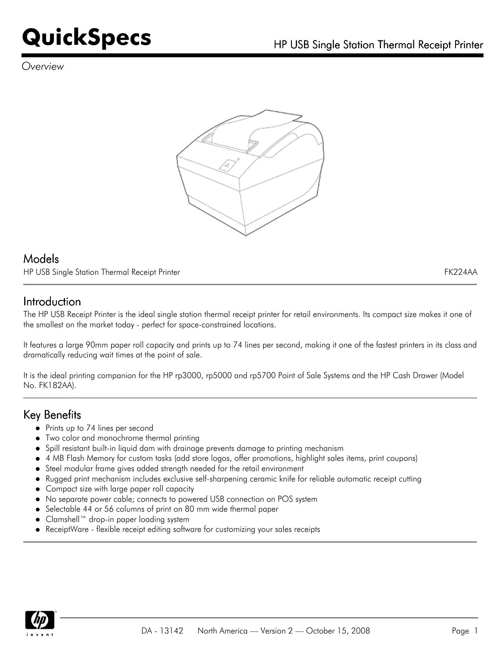*Overview*



#### Models

HP USB Single Station Thermal Receipt Printer FK224AA

Introduction

The HP USB Receipt Printer is the ideal single station thermal receipt printer for retail environments. Its compact size makes it one of the smallest on the market today - perfect for space-constrained locations.

It features a large 90mm paper roll capacity and prints up to 74 lines per second, making it one of the fastest printers in its class and dramatically reducing wait times at the point of sale.

It is the ideal printing companion for the HP rp3000, rp5000 and rp5700 Point of Sale Systems and the HP Cash Drawer (Model No. FK182AA).

#### Key Benefits

- Prints up to 74 lines per second
- Two color and monochrome thermal printing
- Spill resistant built-in liquid dam with drainage prevents damage to printing mechanism
- 4 MB Flash Memory for custom tasks (add store logos, offer promotions, highlight sales items, print coupons)
- Steel modular frame gives added strength needed for the retail environment
- Rugged print mechanism includes exclusive self-sharpening ceramic knife for reliable automatic receipt cutting
- Compact size with large paper roll capacity
- No separate power cable; connects to powered USB connection on POS system
- Selectable 44 or 56 columns of print on 80 mm wide thermal paper
- Clamshell™ drop-in paper loading system
- ReceiptWare flexible receipt editing software for customizing your sales receipts

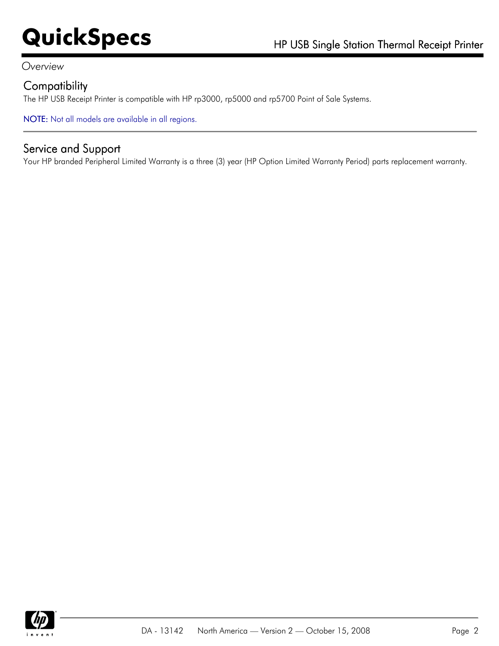*Overview*

#### **Compatibility**

The HP USB Receipt Printer is compatible with HP rp3000, rp5000 and rp5700 Point of Sale Systems.

NOTE: Not all models are available in all regions.

#### Service and Support

Your HP branded Peripheral Limited Warranty is a three (3) year (HP Option Limited Warranty Period) parts replacement warranty.

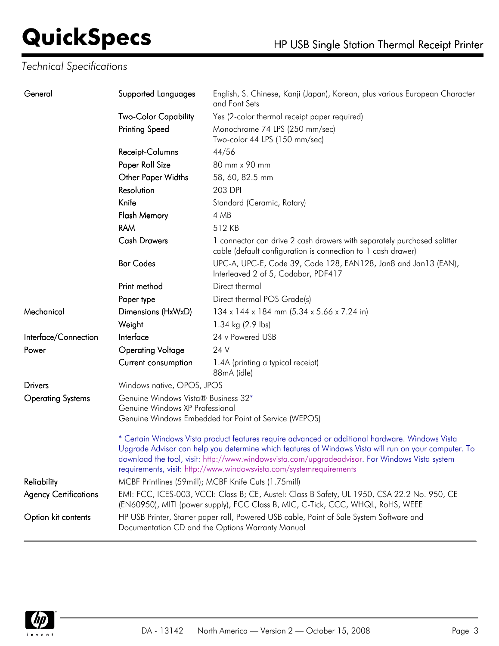### *Technical Specifications*

| General                      | Supported Languages                                                                                                                                                                                                                                                                                                                                                              | English, S. Chinese, Kanji (Japan), Korean, plus various European Character<br>and Font Sets                                            |
|------------------------------|----------------------------------------------------------------------------------------------------------------------------------------------------------------------------------------------------------------------------------------------------------------------------------------------------------------------------------------------------------------------------------|-----------------------------------------------------------------------------------------------------------------------------------------|
|                              | <b>Two-Color Capability</b>                                                                                                                                                                                                                                                                                                                                                      | Yes (2-color thermal receipt paper required)                                                                                            |
|                              | <b>Printing Speed</b>                                                                                                                                                                                                                                                                                                                                                            | Monochrome 74 LPS (250 mm/sec)<br>Two-color 44 LPS (150 mm/sec)                                                                         |
|                              | Receipt-Columns                                                                                                                                                                                                                                                                                                                                                                  | 44/56                                                                                                                                   |
|                              | Paper Roll Size                                                                                                                                                                                                                                                                                                                                                                  | 80 mm x 90 mm                                                                                                                           |
|                              | Other Paper Widths                                                                                                                                                                                                                                                                                                                                                               | 58, 60, 82.5 mm                                                                                                                         |
|                              | Resolution                                                                                                                                                                                                                                                                                                                                                                       | 203 DPI                                                                                                                                 |
|                              | Knife                                                                                                                                                                                                                                                                                                                                                                            | Standard (Ceramic, Rotary)                                                                                                              |
|                              | <b>Flash Memory</b>                                                                                                                                                                                                                                                                                                                                                              | 4 MB                                                                                                                                    |
|                              | <b>RAM</b>                                                                                                                                                                                                                                                                                                                                                                       | 512 KB                                                                                                                                  |
|                              | <b>Cash Drawers</b>                                                                                                                                                                                                                                                                                                                                                              | 1 connector can drive 2 cash drawers with separately purchased splitter<br>cable (default configuration is connection to 1 cash drawer) |
|                              | <b>Bar Codes</b>                                                                                                                                                                                                                                                                                                                                                                 | UPC-A, UPC-E, Code 39, Code 128, EAN128, Jan8 and Jan13 (EAN),<br>Interleaved 2 of 5, Codabar, PDF417                                   |
|                              | Print method                                                                                                                                                                                                                                                                                                                                                                     | Direct thermal                                                                                                                          |
|                              | Paper type                                                                                                                                                                                                                                                                                                                                                                       | Direct thermal POS Grade(s)                                                                                                             |
| Mechanical                   | Dimensions (HxWxD)                                                                                                                                                                                                                                                                                                                                                               | 134 x 144 x 184 mm (5.34 x 5.66 x 7.24 in)                                                                                              |
|                              | Weight                                                                                                                                                                                                                                                                                                                                                                           | 1.34 kg (2.9 lbs)                                                                                                                       |
| Interface/Connection         | Interface                                                                                                                                                                                                                                                                                                                                                                        | 24 v Powered USB                                                                                                                        |
| Power                        | <b>Operating Voltage</b>                                                                                                                                                                                                                                                                                                                                                         | 24 V                                                                                                                                    |
|                              | Current consumption                                                                                                                                                                                                                                                                                                                                                              | 1.4A (printing a typical receipt)<br>88mA (idle)                                                                                        |
| <b>Drivers</b>               | Windows native, OPOS, JPOS                                                                                                                                                                                                                                                                                                                                                       |                                                                                                                                         |
| <b>Operating Systems</b>     | Genuine Windows Vista® Business 32*                                                                                                                                                                                                                                                                                                                                              |                                                                                                                                         |
|                              | Genuine Windows XP Professional<br>Genuine Windows Embedded for Point of Service (WEPOS)                                                                                                                                                                                                                                                                                         |                                                                                                                                         |
|                              | * Certain Windows Vista product features require advanced or additional hardware. Windows Vista<br>Upgrade Advisor can help you determine which features of Windows Vista will run on your computer. To<br>download the tool, visit: http://www.windowsvista.com/upgradeadvisor. For Windows Vista system<br>requirements, visit: http://www.windowsvista.com/systemrequirements |                                                                                                                                         |
| Reliability                  | MCBF Printlines (59mill); MCBF Knife Cuts (1.75mill)                                                                                                                                                                                                                                                                                                                             |                                                                                                                                         |
| <b>Agency Certifications</b> | EMI: FCC, ICES-003, VCCI: Class B; CE, Austel: Class B Safety, UL 1950, CSA 22.2 No. 950, CE<br>(EN60950), MITI (power supply), FCC Class B, MIC, C-Tick, CCC, WHQL, RoHS, WEEE                                                                                                                                                                                                  |                                                                                                                                         |
| Option kit contents          | HP USB Printer, Starter paper roll, Powered USB cable, Point of Sale System Software and<br>Documentation CD and the Options Warranty Manual                                                                                                                                                                                                                                     |                                                                                                                                         |
|                              |                                                                                                                                                                                                                                                                                                                                                                                  |                                                                                                                                         |